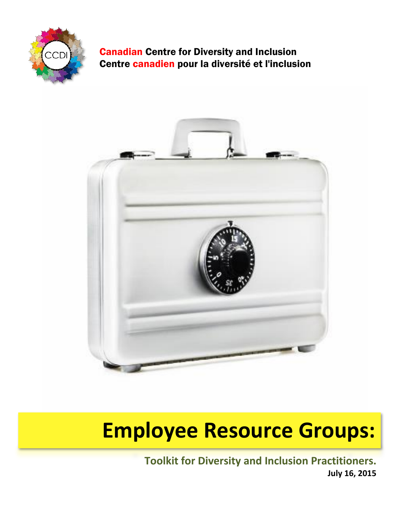

# Canadian Centre for Diversity and Inclusion Centre canadien pour la diversité et l'inclusion



# **Employee Resource Groups:**

**Toolkit for Diversity and Inclusion Practitioners. July 16, 2015**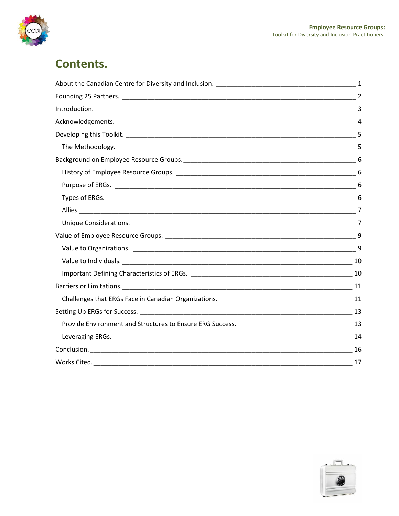

# **Contents.**

| 9 |
|---|
|   |
|   |
|   |
|   |
|   |
|   |
|   |
|   |
|   |

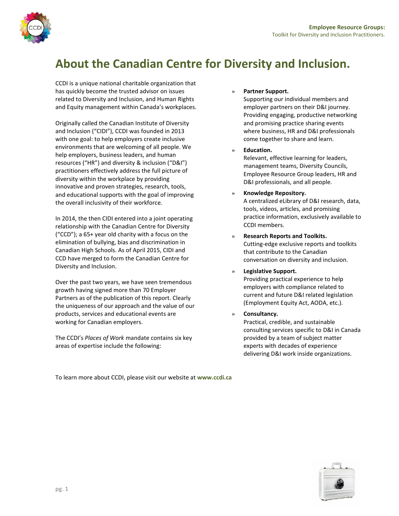

# **About the Canadian Centre for Diversity and Inclusion.**

CCDI is a unique national charitable organization that has quickly become the trusted advisor on issues related to Diversity and Inclusion, and Human Rights and Equity management within Canada's workplaces.

Originally called the Canadian Institute of Diversity and Inclusion ("CIDI"), CCDI was founded in 2013 with one goal: to help employers create inclusive environments that are welcoming of all people. We help employers, business leaders, and human resources ("HR") and diversity & inclusion ("D&I") practitioners effectively address the full picture of diversity within the workplace by providing innovative and proven strategies, research, tools, and educational supports with the goal of improving the overall inclusivity of their workforce.

In 2014, the then CIDI entered into a joint operating relationship with the Canadian Centre for Diversity ("CCD"); a 65+ year old charity with a focus on the elimination of bullying, bias and discrimination in Canadian High Schools. As of April 2015, CIDI and CCD have merged to form the Canadian Centre for Diversity and Inclusion.

Over the past two years, we have seen tremendous growth having signed more than 70 Employer Partners as of the publication of this report. Clearly the uniqueness of our approach and the value of our products, services and educational events are working for Canadian employers.

The CCDI's *Places of Work* mandate contains six key areas of expertise include the following:

### » **Partner Support.**

Supporting our individual members and employer partners on their D&I journey. Providing engaging, productive networking and promising practice sharing events where business, HR and D&I professionals come together to share and learn.

» **Education.** 

Relevant, effective learning for leaders, management teams, Diversity Councils, Employee Resource Group leaders, HR and D&I professionals, and all people.

### » **Knowledge Repository.**

A centralized eLibrary of D&I research, data, tools, videos, articles, and promising practice information, exclusively available to CCDI members.

» **Research Reports and Toolkits.**  Cutting-edge exclusive reports and toolkits that contribute to the Canadian conversation on diversity and inclusion.

### » **Legislative Support.**

Providing practical experience to help employers with compliance related to current and future D&I related legislation (Employment Equity Act, AODA, etc.).

» **Consultancy.** 

Practical, credible, and sustainable consulting services specific to D&I in Canada provided by a team of subject matter experts with decades of experience delivering D&I work inside organizations.

To learn more about CCDI, please visit our website at **www.ccdi.ca**

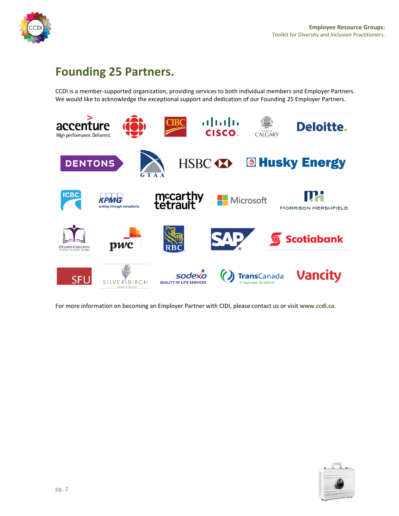

# **Founding 25 Partners.**

CCDI is a member-supported organization, providing services to both individual members and Employer Partners. We would like to acknowledge the exceptional support and dedication of our Founding 25 Employer Partners.



For more information on becoming an Employer Partner with CIDI, please contact us or visit **www.ccdi.ca**.

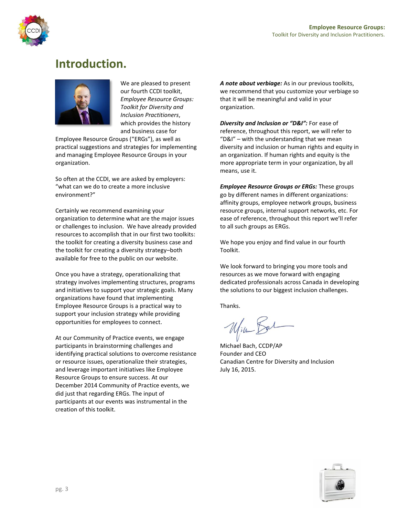

# **Introduction.**



We are pleased to present our fourth CCDI toolkit, *Employee Resource Groups: Toolkit for Diversity and Inclusion Practitioners*, which provides the history and business case for

Employee Resource Groups ("ERGs"), as well as practical suggestions and strategies for implementing and managing Employee Resource Groups in your organization.

So often at the CCDI, we are asked by employers: "what can we do to create a more inclusive environment?"

Certainly we recommend examining your organization to determine what are the major issues or challenges to inclusion. We have already provided resources to accomplish that in our first two toolkits: the toolkit for creating a diversity business case and the toolkit for creating a diversity strategy–both available for free to the public on our website.

Once you have a strategy, operationalizing that strategy involves implementing structures, programs and initiatives to support your strategic goals. Many organizations have found that implementing Employee Resource Groups is a practical way to support your inclusion strategy while providing opportunities for employees to connect.

At our Community of Practice events, we engage participants in brainstorming challenges and identifying practical solutions to overcome resistance or resource issues, operationalize their strategies, and leverage important initiatives like Employee Resource Groups to ensure success. At our December 2014 Community of Practice events, we did just that regarding ERGs. The input of participants at our events was instrumental in the creation of this toolkit.

*A note about verbiage:* As in our previous toolkits, we recommend that you customize your verbiage so that it will be meaningful and valid in your organization.

*Diversity and Inclusion or "D&I":* For ease of reference, throughout this report, we will refer to "D&I" – with the understanding that we mean diversity and inclusion or human rights and equity in an organization. If human rights and equity is the more appropriate term in your organization, by all means, use it.

*Employee Resource Groups or ERGs:* These groups go by different names in different organizations: affinity groups, employee network groups, business resource groups, internal support networks, etc. For ease of reference, throughout this report we'll refer to all such groups as ERGs.

We hope you enjoy and find value in our fourth Toolkit.

We look forward to bringing you more tools and resources as we move forward with engaging dedicated professionals across Canada in developing the solutions to our biggest inclusion challenges.

Thanks.

William Bal

Michael Bach, CCDP/AP Founder and CEO Canadian Centre for Diversity and Inclusion July 16, 2015.

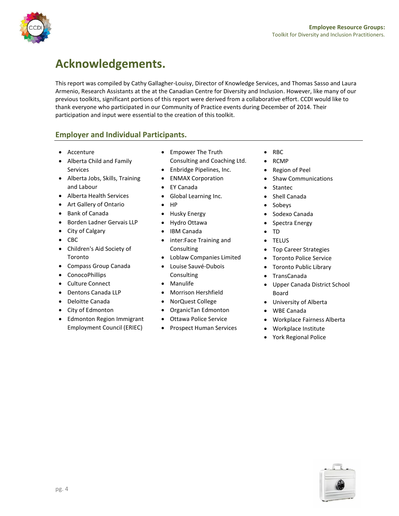

# **Acknowledgements.**

This report was compiled by Cathy Gallagher-Louisy, Director of Knowledge Services, and Thomas Sasso and Laura Armenio, Research Assistants at the at the Canadian Centre for Diversity and Inclusion. However, like many of our previous toolkits, significant portions of this report were derived from a collaborative effort. CCDI would like to thank everyone who participated in our Community of Practice events during December of 2014. Their participation and input were essential to the creation of this toolkit.

# **Employer and Individual Participants.**

- Accenture
- Alberta Child and Family Services
- Alberta Jobs, Skills, Training and Labour
- Alberta Health Services
- Art Gallery of Ontario
- Bank of Canada
- Borden Ladner Gervais LLP
- City of Calgary
- $\bullet$  CBC
- Children's Aid Society of Toronto
- Compass Group Canada
- ConocoPhillips
- Culture Connect
- Dentons Canada LLP
- Deloitte Canada
- City of Edmonton
- Edmonton Region Immigrant Employment Council (ERIEC)
- Empower The Truth Consulting and Coaching Ltd.
- Enbridge Pipelines, Inc.
- **ENMAX Corporation**
- EY Canada
- Global Learning Inc.
- HP
- Husky Energy
- Hydro Ottawa
- IBM Canada
- inter:Face Training and **Consulting**
- Loblaw Companies Limited
- Louise Sauvé-Dubois **Consulting**
- Manulife
- Morrison Hershfield
- NorQuest College
- OrganicTan Edmonton
- Ottawa Police Service
- Prospect Human Services
- $\bullet$  RBC
- RCMP
- Region of Peel
- Shaw Communications
- Stantec
- Shell Canada
- Sobeys
- Sodexo Canada
- Spectra Energy
- TD
- TELUS
- Top Career Strategies
- Toronto Police Service
- Toronto Public Library
- TransCanada
- Upper Canada District School Board
- University of Alberta
- WBE Canada
- Workplace Fairness Alberta
- Workplace Institute
- York Regional Police

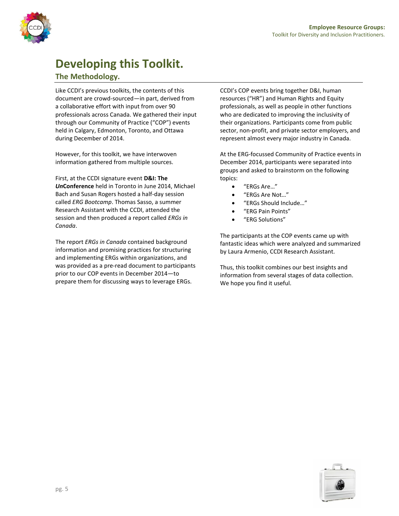

# **Developing this Toolkit.**

# **The Methodology.**

Like CCDI's previous toolkits, the contents of this document are crowd-sourced—in part, derived from a collaborative effort with input from over 90 professionals across Canada. We gathered their input through our Community of Practice ("COP") events held in Calgary, Edmonton, Toronto, and Ottawa during December of 2014.

However, for this toolkit, we have interwoven information gathered from multiple sources.

First, at the CCDI signature event **D&I: The**  *Un***Conference** held in Toronto in June 2014, Michael Bach and Susan Rogers hosted a half-day session called *ERG Bootcamp*. Thomas Sasso, a summer Research Assistant with the CCDI, attended the session and then produced a report called *ERGs in Canada*.

The report *ERGs in Canada* contained background information and promising practices for structuring and implementing ERGs within organizations, and was provided as a pre-read document to participants prior to our COP events in December 2014—to prepare them for discussing ways to leverage ERGs.

CCDI's COP events bring together D&I, human resources ("HR") and Human Rights and Equity professionals, as well as people in other functions who are dedicated to improving the inclusivity of their organizations. Participants come from public sector, non-profit, and private sector employers, and represent almost every major industry in Canada.

At the ERG-focussed Community of Practice events in December 2014, participants were separated into groups and asked to brainstorm on the following topics:

- "ERGs Are…"
- "ERGs Are Not…"
	- "ERGs Should Include…"
- "ERG Pain Points"
- "ERG Solutions"

The participants at the COP events came up with fantastic ideas which were analyzed and summarized by Laura Armenio, CCDI Research Assistant.

Thus, this toolkit combines our best insights and information from several stages of data collection. We hope you find it useful.

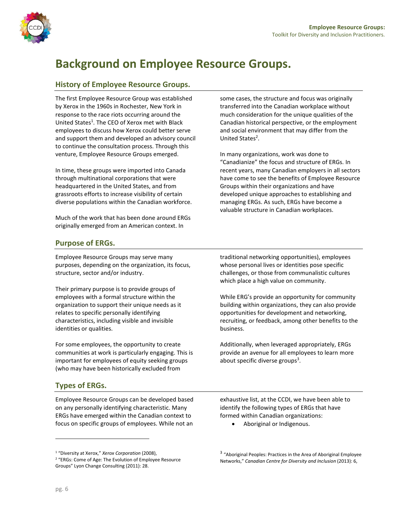

# **Background on Employee Resource Groups.**

# **History of Employee Resource Groups.**

The first Employee Resource Group was established by Xerox in the 1960s in Rochester, New York in response to the race riots occurring around the United States<sup>1</sup>. The CEO of Xerox met with Black employees to discuss how Xerox could better serve and support them and developed an advisory council to continue the consultation process. Through this venture, Employee Resource Groups emerged.

In time, these groups were imported into Canada through multinational corporations that were headquartered in the United States, and from grassroots efforts to increase visibility of certain diverse populations within the Canadian workforce.

Much of the work that has been done around ERGs originally emerged from an American context. In

some cases, the structure and focus was originally transferred into the Canadian workplace without much consideration for the unique qualities of the Canadian historical perspective, or the employment and social environment that may differ from the United States<sup>2</sup>.

In many organizations, work was done to "Canadianize" the focus and structure of ERGs. In recent years, many Canadian employers in all sectors have come to see the benefits of Employee Resource Groups within their organizations and have developed unique approaches to establishing and managing ERGs. As such, ERGs have become a valuable structure in Canadian workplaces.

## **Purpose of ERGs.**

Employee Resource Groups may serve many purposes, depending on the organization, its focus, structure, sector and/or industry.

Their primary purpose is to provide groups of employees with a formal structure within the organization to support their unique needs as it relates to specific personally identifying characteristics, including visible and invisible identities or qualities.

For some employees, the opportunity to create communities at work is particularly engaging. This is important for employees of equity seeking groups (who may have been historically excluded from

# **Types of ERGs.**

Employee Resource Groups can be developed based on any personally identifying characteristic. Many ERGs have emerged within the Canadian context to focus on specific groups of employees. While not an

traditional networking opportunities), employees whose personal lives or identities pose specific challenges, or those from communalistic cultures which place a high value on community.

While ERG's provide an opportunity for community building within organizations, they can also provide opportunities for development and networking, recruiting, or feedback, among other benefits to the business.

Additionally, when leveraged appropriately, ERGs provide an avenue for all employees to learn more about specific diverse groups<sup>3</sup>.

exhaustive list, at the CCDI, we have been able to identify the following types of ERGs that have formed within Canadian organizations:

Aboriginal or Indigenous.

<sup>1</sup> "Diversity at Xerox," *Xerox Corporation* (2008),

<sup>2</sup> "ERGs: Come of Age: The Evolution of Employee Resource Groups" Lyon Change Consulting (2011): 28.

<sup>&</sup>lt;sup>3</sup> "Aboriginal Peoples: Practices in the Area of Aboriginal Employee Networks," *Canadian Centre for Diversity and Inclusion* (2013): 6,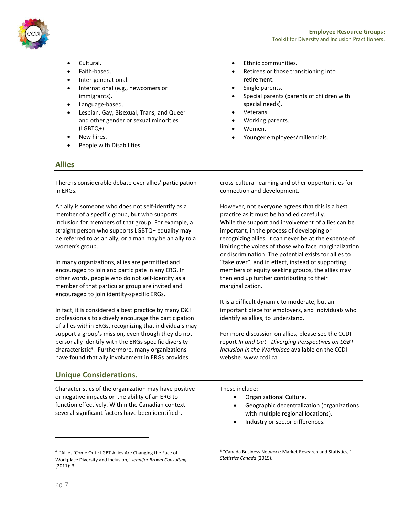

- Cultural.
- Faith-based.
- Inter-generational.
- International (e.g., newcomers or immigrants).
- Language-based.
- Lesbian, Gay, Bisexual, Trans, and Queer and other gender or sexual minorities (LGBTQ+).
- New hires.
- People with Disabilities.

### **Allies**

There is considerable debate over allies' participation in ERGs.

An ally is someone who does not self-identify as a member of a specific group, but who supports inclusion for members of that group. For example, a straight person who supports LGBTQ+ equality may be referred to as an ally, or a man may be an ally to a women's group.

In many organizations, allies are permitted and encouraged to join and participate in any ERG. In other words, people who do not self-identify as a member of that particular group are invited and encouraged to join identity-specific ERGs.

In fact, it is considered a best practice by many D&I professionals to actively encourage the participation of allies within ERGs, recognizing that individuals may support a group's mission, even though they do not personally identify with the ERGs specific diversity characteristic<sup>4</sup>. Furthermore, many organizations have found that ally involvement in ERGs provides

# **Unique Considerations.**

Characteristics of the organization may have positive or negative impacts on the ability of an ERG to function effectively. Within the Canadian context several significant factors have been identified<sup>5</sup>.

- Ethnic communities.
- Retirees or those transitioning into retirement.
- Single parents.
- Special parents (parents of children with special needs).
- Veterans.
- Working parents.
- Women.
- Younger employees/millennials.

cross-cultural learning and other opportunities for connection and development.

However, not everyone agrees that this is a best practice as it must be handled carefully. While the support and involvement of allies can be important, in the process of developing or recognizing allies, it can never be at the expense of limiting the voices of those who face marginalization or discrimination. The potential exists for allies to "take over", and in effect, instead of supporting members of equity seeking groups, the allies may then end up further contributing to their marginalization.

It is a difficult dynamic to moderate, but an important piece for employers, and individuals who identify as allies, to understand.

For more discussion on allies, please see the CCDI report *In and Out - Diverging Perspectives on LGBT Inclusion in the Workplace* available on the CCDI website. [www.ccdi.ca](http://www.ccdi.ca/)

These include:

- Organizational Culture.
- Geographic decentralization (organizations with multiple regional locations).
- Industry or sector differences.

<sup>&</sup>lt;sup>4</sup> "Allies 'Come Out': LGBT Allies Are Changing the Face of Workplace Diversity and Inclusion," *Jennifer Brown Consulting* (2011): 3.

<sup>5</sup> "Canada Business Network: Market Research and Statistics," *Statistics Canada* (2015).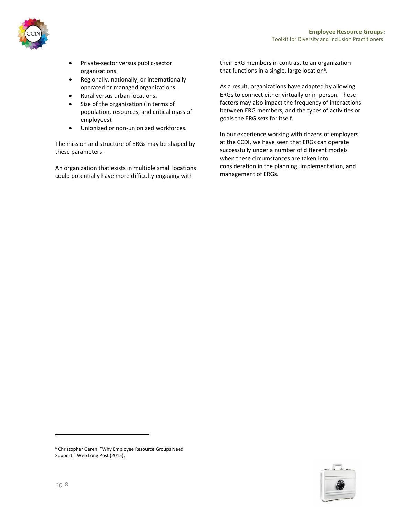

- Private-sector versus public-sector organizations.
- Regionally, nationally, or internationally operated or managed organizations.
- Rural versus urban locations.
- Size of the organization (in terms of population, resources, and critical mass of employees).
- Unionized or non-unionized workforces.

The mission and structure of ERGs may be shaped by these parameters.

An organization that exists in multiple small locations could potentially have more difficulty engaging with

their ERG members in contrast to an organization that functions in a single, large location<sup>6</sup>.

As a result, organizations have adapted by allowing ERGs to connect either virtually or in-person. These factors may also impact the frequency of interactions between ERG members, and the types of activities or goals the ERG sets for itself.

In our experience working with dozens of employers at the CCDI, we have seen that ERGs can operate successfully under a number of different models when these circumstances are taken into consideration in the planning, implementation, and management of ERGs.



<sup>6</sup> Christopher Geren, "Why Employee Resource Groups Need Support," Web Long Post (2015).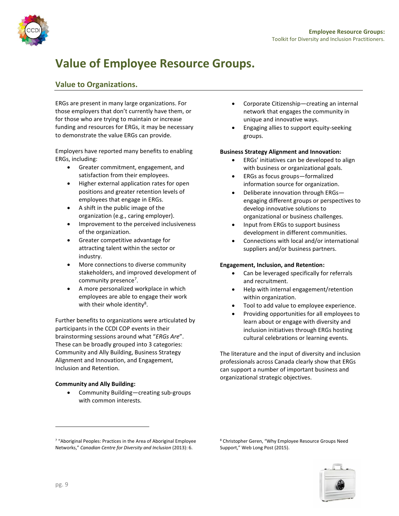

# **Value of Employee Resource Groups.**

# **Value to Organizations.**

ERGs are present in many large organizations. For those employers that don't currently have them, or for those who are trying to maintain or increase funding and resources for ERGs, it may be necessary to demonstrate the value ERGs can provide.

Employers have reported many benefits to enabling ERGs, including:

- Greater commitment, engagement, and satisfaction from their employees.
- Higher external application rates for open positions and greater retention levels of employees that engage in ERGs.
- A shift in the public image of the organization (e.g., caring employer).
- Improvement to the perceived inclusiveness of the organization.
- Greater competitive advantage for attracting talent within the sector or industry.
- More connections to diverse community stakeholders, and improved development of community presence<sup>7</sup>.
- A more personalized workplace in which employees are able to engage their work with their whole identity<sup>8</sup>.

Further benefits to organizations were articulated by participants in the CCDI COP events in their brainstorming sessions around what "*ERGs Are*". These can be broadly grouped into 3 categories: Community and Ally Building, Business Strategy Alignment and Innovation, and Engagement, Inclusion and Retention.

### **Community and Ally Building:**

 Community Building—creating sub-groups with common interests.

- Corporate Citizenship—creating an internal network that engages the community in unique and innovative ways.
- Engaging allies to support equity-seeking groups.

#### **Business Strategy Alignment and Innovation:**

- ERGs' initiatives can be developed to align with business or organizational goals.
- ERGs as focus groups—formalized information source for organization.
- Deliberate innovation through ERGs engaging different groups or perspectives to develop innovative solutions to organizational or business challenges.
- Input from ERGs to support business development in different communities.
- Connections with local and/or international suppliers and/or business partners.

### **Engagement, Inclusion, and Retention:**

- Can be leveraged specifically for referrals and recruitment.
- Help with internal engagement/retention within organization.
- Tool to add value to employee experience.
- Providing opportunities for all employees to learn about or engage with diversity and inclusion initiatives through ERGs hosting cultural celebrations or learning events.

The literature and the input of diversity and inclusion professionals across Canada clearly show that ERGs can support a number of important business and organizational strategic objectives.

<sup>8</sup> Christopher Geren, "Why Employee Resource Groups Need Support," Web Long Post (2015).



<sup>7</sup> "Aboriginal Peoples: Practices in the Area of Aboriginal Employee Networks," *Canadian Centre for Diversity and Inclusion* (2013): 6.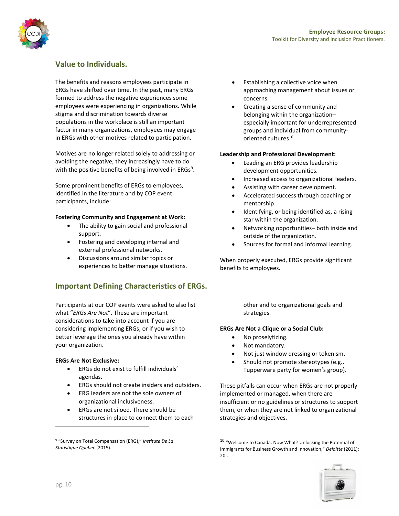

## **Value to Individuals.**

The benefits and reasons employees participate in ERGs have shifted over time. In the past, many ERGs formed to address the negative experiences some employees were experiencing in organizations. While stigma and discrimination towards diverse populations in the workplace is still an important factor in many organizations, employees may engage in ERGs with other motives related to participation.

Motives are no longer related solely to addressing or avoiding the negative, they increasingly have to do with the positive benefits of being involved in ERGs<sup>9</sup>.

Some prominent benefits of ERGs to employees, identified in the literature and by COP event participants, include:

#### **Fostering Community and Engagement at Work:**

- The ability to gain social and professional support.
- Fostering and developing internal and external professional networks.
- Discussions around similar topics or experiences to better manage situations.

# **Important Defining Characteristics of ERGs.**

Participants at our COP events were asked to also list what "*ERGs Are Not*". These are important considerations to take into account if you are considering implementing ERGs, or if you wish to better leverage the ones you already have within your organization.

### **ERGs Are Not Exclusive:**

- ERGs do not exist to fulfill individuals' agendas.
- ERGs should not create insiders and outsiders.
- ERG leaders are not the sole owners of organizational inclusiveness.
- ERGs are not siloed. There should be structures in place to connect them to each
- Establishing a collective voice when approaching management about issues or concerns.
- Creating a sense of community and belonging within the organization– especially important for underrepresented groups and individual from communityoriented cultures<sup>10</sup>.

#### **Leadership and Professional Development:**

- Leading an ERG provides leadership development opportunities.
- Increased access to organizational leaders.
- Assisting with career development.
- Accelerated success through coaching or mentorship.
- Identifying, or being identified as, a rising star within the organization.
- Networking opportunities– both inside and outside of the organization.
- Sources for formal and informal learning.

When properly executed, ERGs provide significant benefits to employees.

> other and to organizational goals and strategies.

### **ERGs Are Not a Clique or a Social Club:**

- No proselytizing.
- Not mandatory.
- Not just window dressing or tokenism.
- Should not promote stereotypes (e.g., Tupperware party for women's group).

These pitfalls can occur when ERGs are not properly implemented or managed, when there are insufficient or no guidelines or structures to support them, or when they are not linked to organizational strategies and objectives.

<sup>&</sup>lt;sup>10</sup> "Welcome to Canada. Now What? Unlocking the Potential of Immigrants for Business Growth and Innovation," *Deloitte* (2011): 20..



<sup>9</sup> "Survey on Total Compensation (ERG)," *Institute De La Statistique Quebec* (2015).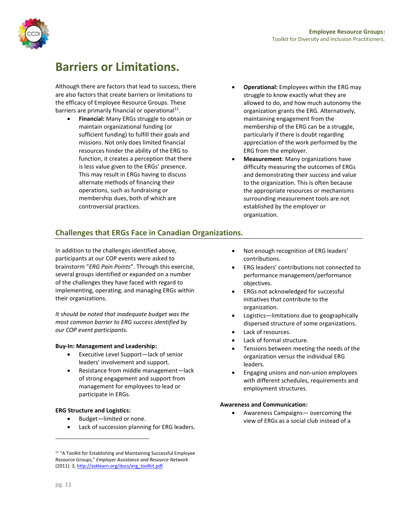

# **Barriers or Limitations.**

Although there are factors that lead to success, there are also factors that create barriers or limitations to the efficacy of Employee Resource Groups. These barriers are primarily financial or operational<sup>11</sup>.

- **Financial:** Many ERGs struggle to obtain or maintain organizational funding (or sufficient funding) to fulfill their goals and missions. Not only does limited financial resources hinder the ability of the ERG to function, it creates a perception that there is less value given to the ERGs' presence. This may result in ERGs having to discuss alternate methods of financing their operations, such as fundraising or membership dues, both of which are controversial practices.
- **Operational:** Employees within the ERG may struggle to know exactly what they are allowed to do, and how much autonomy the organization grants the ERG. Alternatively, maintaining engagement from the membership of the ERG can be a struggle, particularly if there is doubt regarding appreciation of the work performed by the ERG from the employer.
- **Measurement**: Many organizations have difficulty measuring the outcomes of ERGs and demonstrating their success and value to the organization. This is often because the appropriate resources or mechanisms surrounding measurement tools are not established by the employer or organization.

# **Challenges that ERGs Face in Canadian Organizations.**

In addition to the challenges identified above, participants at our COP events were asked to brainstorm "*ERG Pain Points*". Through this exercise, several groups identified or expanded on a number of the challenges they have faced with regard to implementing, operating, and managing ERGs within their organizations.

*It should be noted that inadequate budget was the most common barrier to ERG success identified by our COP event participants.* 

### **Buy-In: Management and Leadership:**

- Executive Level Support—lack of senior leaders' involvement and support.
- Resistance from middle management—lack of strong engagement and support from management for employees to lead or participate in ERGs.

### **ERG Structure and Logistics:**

- Budget—limited or none.
- Lack of succession planning for ERG leaders.
- Not enough recognition of ERG leaders' contributions.
- ERG leaders' contributions not connected to performance management/performance objectives.
- ERGs not acknowledged for successful initiatives that contribute to the organization.
- Logistics—limitations due to geographically dispersed structure of some organizations.
- Lack of resources.
- Lack of formal structure.
- Tensions between meeting the needs of the organization versus the individual ERG leaders.
- Engaging unions and non-union employees with different schedules, requirements and employment structures.

#### **Awareness and Communication:**

 Awareness Campaigns— overcoming the view of ERGs as a social club instead of a

<sup>&</sup>lt;sup>11</sup> "A Toolkit for Establishing and Maintaining Successful Employee Resource Groups," *Employer Assistance and Resource Network* (2011): 3[, http://asklearn.org/docs/erg\\_toolkit.pdf.](http://asklearn.org/docs/erg_toolkit.pdf)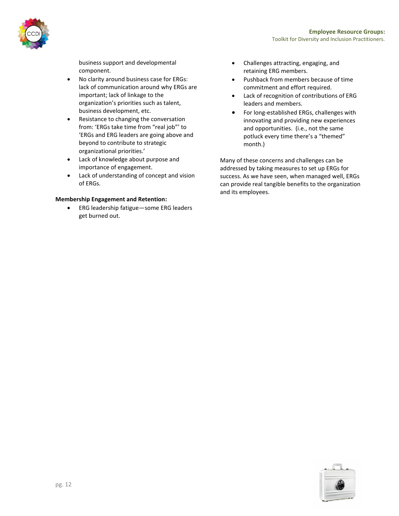

business support and developmental component.

- No clarity around business case for ERGs: lack of communication around why ERGs are important; lack of linkage to the organization's priorities such as talent, business development, etc.
- Resistance to changing the conversation from: 'ERGs take time from "real job"' to 'ERGs and ERG leaders are going above and beyond to contribute to strategic organizational priorities.'
- Lack of knowledge about purpose and importance of engagement.
- Lack of understanding of concept and vision of ERGs.

### **Membership Engagement and Retention:**

 ERG leadership fatigue—some ERG leaders get burned out.

- Challenges attracting, engaging, and retaining ERG members.
- Pushback from members because of time commitment and effort required.
- Lack of recognition of contributions of ERG leaders and members.
- For long-established ERGs, challenges with innovating and providing new experiences and opportunities. (i.e., not the same potluck every time there's a "themed" month.)

Many of these concerns and challenges can be addressed by taking measures to set up ERGs for success. As we have seen, when managed well, ERGs can provide real tangible benefits to the organization and its employees.

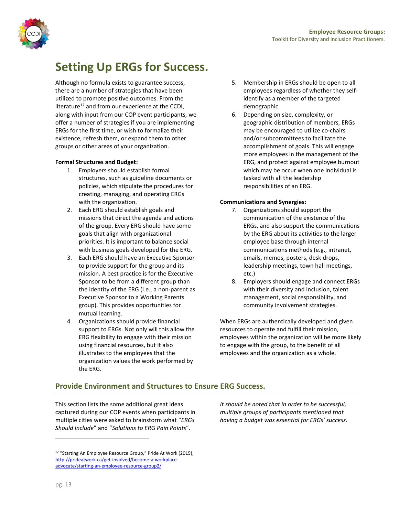

# **Setting Up ERGs for Success.**

Although no formula exists to guarantee success, there are a number of strategies that have been utilized to promote positive outcomes. From the literature<sup>12</sup> and from our experience at the CCDI, along with input from our COP event participants, we offer a number of strategies if you are implementing ERGs for the first time, or wish to formalize their existence, refresh them, or expand them to other groups or other areas of your organization.

### **Formal Structures and Budget:**

- 1. Employers should establish formal structures, such as guideline documents or policies, which stipulate the procedures for creating, managing, and operating ERGs with the organization.
- 2. Each ERG should establish goals and missions that direct the agenda and actions of the group. Every ERG should have some goals that align with organizational priorities. It is important to balance social with business goals developed for the ERG.
- 3. Each ERG should have an Executive Sponsor to provide support for the group and its mission. A best practice is for the Executive Sponsor to be from a different group than the identity of the ERG (i.e., a non-parent as Executive Sponsor to a Working Parents group). This provides opportunities for mutual learning.
- 4. Organizations should provide financial support to ERGs. Not only will this allow the ERG flexibility to engage with their mission using financial resources, but it also illustrates to the employees that the organization values the work performed by the ERG.
- 5. Membership in ERGs should be open to all employees regardless of whether they selfidentify as a member of the targeted demographic.
- 6. Depending on size, complexity, or geographic distribution of members, ERGs may be encouraged to utilize co-chairs and/or subcommittees to facilitate the accomplishment of goals. This will engage more employees in the management of the ERG, and protect against employee burnout which may be occur when one individual is tasked with all the leadership responsibilities of an ERG.

### **Communications and Synergies:**

- 7. Organizations should support the communication of the existence of the ERGs, and also support the communications by the ERG about its activities to the larger employee base through internal communications methods (e.g., intranet, emails, memos, posters, desk drops, leadership meetings, town hall meetings, etc.)
- 8. Employers should engage and connect ERGs with their diversity and inclusion, talent management, social responsibility, and community involvement strategies.

When ERGs are authentically developed and given resources to operate and fulfill their mission, employees within the organization will be more likely to engage with the group, to the benefit of all employees and the organization as a whole.

# **Provide Environment and Structures to Ensure ERG Success.**

This section lists the some additional great ideas captured during our COP events when participants in multiple cities were asked to brainstorm what "*ERGs Should Include*" and "*Solutions to ERG Pain Points*".

*It should be noted that in order to be successful, multiple groups of participants mentioned that having a budget was essential for ERGs' success.*

<sup>&</sup>lt;sup>12</sup> "Starting An Employee Resource Group," Pride At Work (2015), [http://prideatwork.ca/get-involved/become-a-workplace](http://prideatwork.ca/get-involved/become-a-workplace-advocate/starting-an-employee-resource-group2/)[advocate/starting-an-employee-resource-group2/.](http://prideatwork.ca/get-involved/become-a-workplace-advocate/starting-an-employee-resource-group2/)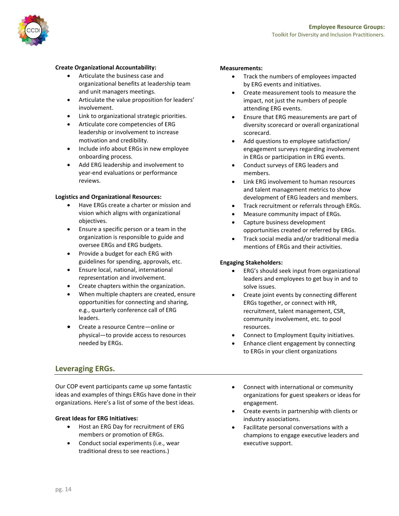

### **Create Organizational Accountability:**

- Articulate the business case and organizational benefits at leadership team and unit managers meetings.
- Articulate the value proposition for leaders' involvement.
- Link to organizational strategic priorities.
- Articulate core competencies of ERG leadership or involvement to increase motivation and credibility.
- Include info about ERGs in new employee onboarding process.
- Add ERG leadership and involvement to year-end evaluations or performance reviews.

#### **Logistics and Organizational Resources:**

- Have ERGs create a charter or mission and vision which aligns with organizational objectives.
- Ensure a specific person or a team in the organization is responsible to guide and oversee ERGs and ERG budgets.
- Provide a budget for each ERG with guidelines for spending, approvals, etc.
- Ensure local, national, international representation and involvement.
- Create chapters within the organization.
- When multiple chapters are created, ensure opportunities for connecting and sharing, e.g., quarterly conference call of ERG leaders.
- Create a resource Centre—online or physical—to provide access to resources needed by ERGs.

### **Leveraging ERGs.**

Our COP event participants came up some fantastic ideas and examples of things ERGs have done in their organizations. Here's a list of some of the best ideas.

### **Great Ideas for ERG Initiatives:**

- Host an ERG Day for recruitment of ERG members or promotion of ERGs.
- Conduct social experiments (i.e., wear traditional dress to see reactions.)

#### **Measurements:**

- Track the numbers of employees impacted by ERG events and initiatives.
- Create measurement tools to measure the impact, not just the numbers of people attending ERG events.
- Ensure that ERG measurements are part of diversity scorecard or overall organizational scorecard.
- Add questions to employee satisfaction/ engagement surveys regarding involvement in ERGs or participation in ERG events.
- Conduct surveys of ERG leaders and members.
- Link ERG involvement to human resources and talent management metrics to show development of ERG leaders and members.
- Track recruitment or referrals through ERGs.
- Measure community impact of ERGs.
- Capture business development opportunities created or referred by ERGs.
- Track social media and/or traditional media mentions of ERGs and their activities.

### **Engaging Stakeholders:**

- ERG's should seek input from organizational leaders and employees to get buy in and to solve issues.
- Create joint events by connecting different ERGs together, or connect with HR, recruitment, talent management, CSR, community involvement, etc. to pool resources.
- Connect to Employment Equity initiatives.
- Enhance client engagement by connecting to ERGs in your client organizations
- Connect with international or community organizations for guest speakers or ideas for engagement.
- Create events in partnership with clients or industry associations.
- Facilitate personal conversations with a champions to engage executive leaders and executive support.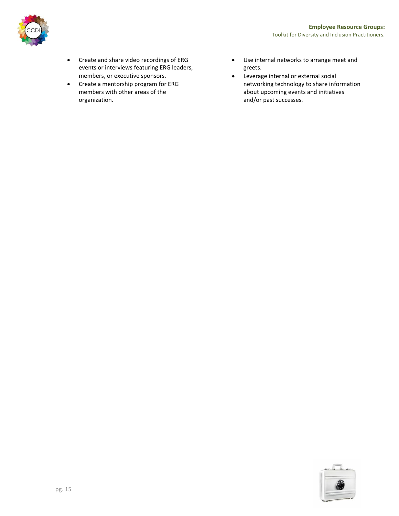

- Create and share video recordings of ERG events or interviews featuring ERG leaders, members, or executive sponsors.
- Create a mentorship program for ERG members with other areas of the organization.
- Use internal networks to arrange meet and greets.
- Leverage internal or external social networking technology to share information about upcoming events and initiatives and/or past successes.

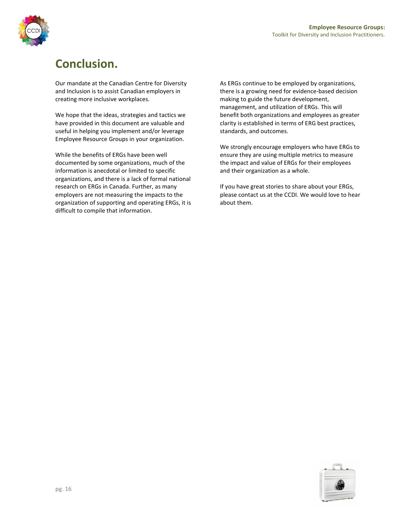



# **Conclusion.**

Our mandate at the Canadian Centre for Diversity and Inclusion is to assist Canadian employers in creating more inclusive workplaces.

We hope that the ideas, strategies and tactics we have provided in this document are valuable and useful in helping you implement and/or leverage Employee Resource Groups in your organization.

While the benefits of ERGs have been well documented by some organizations, much of the information is anecdotal or limited to specific organizations, and there is a lack of formal national research on ERGs in Canada. Further, as many employers are not measuring the impacts to the organization of supporting and operating ERGs, it is difficult to compile that information.

As ERGs continue to be employed by organizations, there is a growing need for evidence-based decision making to guide the future development, management, and utilization of ERGs. This will benefit both organizations and employees as greater clarity is established in terms of ERG best practices, standards, and outcomes.

We strongly encourage employers who have ERGs to ensure they are using multiple metrics to measure the impact and value of ERGs for their employees and their organization as a whole.

If you have great stories to share about your ERGs, please contact us at the CCDI. We would love to hear about them.

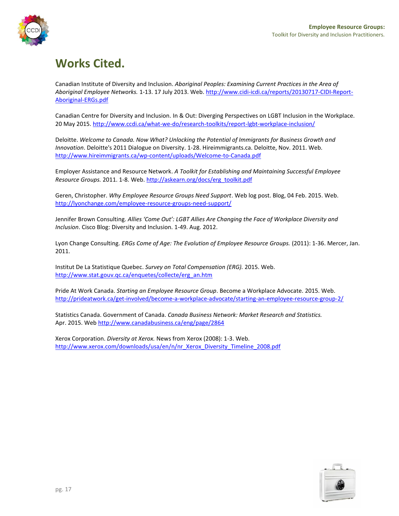# **Works Cited.**

Canadian Institute of Diversity and Inclusion. *Aboriginal Peoples: Examining Current Practices in the Area of Aboriginal Employee Networks.* 1-13. 17 July 2013. Web. [http://www.cidi-icdi.ca/reports/20130717-CIDI-Report-](http://www.cidi-icdi.ca/reports/20130717-CIDI-Report-Aboriginal-ERGs.pdf)[Aboriginal-ERGs.pdf](http://www.cidi-icdi.ca/reports/20130717-CIDI-Report-Aboriginal-ERGs.pdf)

Canadian Centre for Diversity and Inclusion. In & Out: Diverging Perspectives on LGBT Inclusion in the Workplace. 20 May 2015[. http://www.ccdi.ca/what-we-do/research-toolkits/report-lgbt-workplace-inclusion/](http://www.ccdi.ca/what-we-do/research-toolkits/report-lgbt-workplace-inclusion/)

Deloitte. *Welcome to Canada. Now What? Unlocking the Potential of Immigrants for Business Growth and Innovation*. Deloitte's 2011 Dialogue on Diversity. 1-28. Hireimmigrants.ca. Deloitte, Nov. 2011. Web. <http://www.hireimmigrants.ca/wp-content/uploads/Welcome-to-Canada.pdf>

Employer Assistance and Resource Network. *A Toolkit for Establishing and Maintaining Successful Employee Resource Groups.* 2011. 1-8. Web. [http://askearn.org/docs/erg\\_toolkit.pdf](http://askearn.org/docs/erg_toolkit.pdf)

Geren, Christopher. *Why Employee Resource Groups Need Support*. Web log post. Blog, 04 Feb. 2015. Web. <http://lyonchange.com/employee-resource-groups-need-support/>

Jennifer Brown Consulting. *Allies 'Come Out': LGBT Allies Are Changing the Face of Workplace Diversity and Inclusion*. Cisco Blog: Diversity and Inclusion. 1-49. Aug. 2012.

Lyon Change Consulting. *ERGs Come of Age: The Evolution of Employee Resource Groups.* (2011): 1-36. Mercer, Jan. 2011.

Institut De La Statistique Quebec. *Survey on Total Compensation (ERG).* 2015. Web. [http://www.stat.gouv.qc.ca/enquetes/collecte/erg\\_an.htm](http://www.stat.gouv.qc.ca/enquetes/collecte/erg_an.htm)

Pride At Work Canada. *Starting an Employee Resource Group*. Become a Workplace Advocate. 2015. Web. <http://prideatwork.ca/get-involved/become-a-workplace-advocate/starting-an-employee-resource-group-2/>

Statistics Canada. Government of Canada. *Canada Business Network: Market Research and Statistics.* Apr. 2015. Web <http://www.canadabusiness.ca/eng/page/2864>

Xerox Corporation. *Diversity at Xerox.* News from Xerox (2008): 1-3. Web. [http://www.xerox.com/downloads/usa/en/n/nr\\_Xerox\\_Diversity\\_Timeline\\_2008.pdf](http://www.xerox.com/downloads/usa/en/n/nr_Xerox_Diversity_Timeline_2008.pdf)